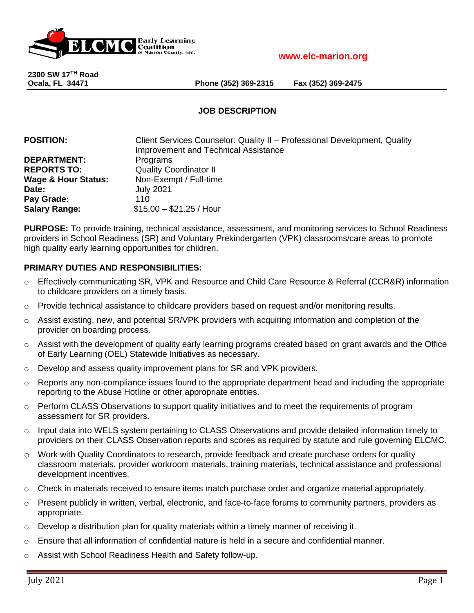

**2300 SW 17TH Road**

**Ocala, FL 34471 Phone (352) 369-2315 Fax (352) 369-2475**

# **JOB DESCRIPTION**

| <b>POSITION:</b>               | Client Services Counselor: Quality II - Professional Development, Quality |
|--------------------------------|---------------------------------------------------------------------------|
|                                | <b>Improvement and Technical Assistance</b>                               |
| <b>DEPARTMENT:</b>             | Programs                                                                  |
| <b>REPORTS TO:</b>             | <b>Quality Coordinator II</b>                                             |
| <b>Wage &amp; Hour Status:</b> | Non-Exempt / Full-time                                                    |
| Date:                          | <b>July 2021</b>                                                          |
| Pay Grade:                     | 110                                                                       |
| <b>Salary Range:</b>           | $$15.00 - $21.25 /$ Hour                                                  |

**PURPOSE:** To provide training, technical assistance, assessment, and monitoring services to School Readiness providers in School Readiness (SR) and Voluntary Prekindergarten (VPK) classrooms/care areas to promote high quality early learning opportunities for children.

# **PRIMARY DUTIES AND RESPONSIBILITIES:**

- o Effectively communicating SR, VPK and Resource and Child Care Resource & Referral (CCR&R) information to childcare providers on a timely basis.
- $\circ$  Provide technical assistance to childcare providers based on request and/or monitoring results.
- $\circ$  Assist existing, new, and potential SR/VPK providers with acquiring information and completion of the provider on boarding process.
- o Assist with the development of quality early learning programs created based on grant awards and the Office of Early Learning (OEL) Statewide Initiatives as necessary.
- $\circ$  Develop and assess quality improvement plans for SR and VPK providers.
- o Reports any non-compliance issues found to the appropriate department head and including the appropriate reporting to the Abuse Hotline or other appropriate entities.
- $\circ$  Perform CLASS Observations to support quality initiatives and to meet the requirements of program assessment for SR providers.
- $\circ$  Input data into WELS system pertaining to CLASS Observations and provide detailed information timely to providers on their CLASS Observation reports and scores as required by statute and rule governing ELCMC.
- o Work with Quality Coordinators to research, provide feedback and create purchase orders for quality classroom materials, provider workroom materials, training materials, technical assistance and professional development incentives.
- $\circ$  Check in materials received to ensure items match purchase order and organize material appropriately.
- o Present publicly in written, verbal, electronic, and face-to-face forums to community partners, providers as appropriate.
- Develop a distribution plan for quality materials within a timely manner of receiving it.
- $\circ$  Ensure that all information of confidential nature is held in a secure and confidential manner.
- o Assist with School Readiness Health and Safety follow-up.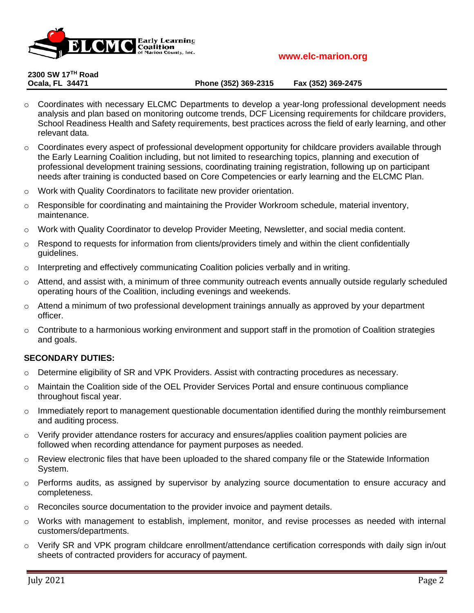

**2300 SW 17TH Road**

**Ocala, FL 34471 Phone (352) 369-2315 Fax (352) 369-2475**

- $\circ$  Coordinates with necessary ELCMC Departments to develop a year-long professional development needs analysis and plan based on monitoring outcome trends, DCF Licensing requirements for childcare providers, School Readiness Health and Safety requirements, best practices across the field of early learning, and other relevant data.
- $\circ$  Coordinates every aspect of professional development opportunity for childcare providers available through the Early Learning Coalition including, but not limited to researching topics, planning and execution of professional development training sessions, coordinating training registration, following up on participant needs after training is conducted based on Core Competencies or early learning and the ELCMC Plan.
- o Work with Quality Coordinators to facilitate new provider orientation.
- $\circ$  Responsible for coordinating and maintaining the Provider Workroom schedule, material inventory, maintenance.
- o Work with Quality Coordinator to develop Provider Meeting, Newsletter, and social media content.
- $\circ$  Respond to requests for information from clients/providers timely and within the client confidentially guidelines.
- $\circ$  Interpreting and effectively communicating Coalition policies verbally and in writing.
- $\circ$  Attend, and assist with, a minimum of three community outreach events annually outside regularly scheduled operating hours of the Coalition, including evenings and weekends.
- $\circ$  Attend a minimum of two professional development trainings annually as approved by your department officer.
- $\circ$  Contribute to a harmonious working environment and support staff in the promotion of Coalition strategies and goals.

## **SECONDARY DUTIES:**

- $\circ$  Determine eligibility of SR and VPK Providers. Assist with contracting procedures as necessary.
- o Maintain the Coalition side of the OEL Provider Services Portal and ensure continuous compliance throughout fiscal year.
- $\circ$  Immediately report to management questionable documentation identified during the monthly reimbursement and auditing process.
- $\circ$  Verify provider attendance rosters for accuracy and ensures/applies coalition payment policies are followed when recording attendance for payment purposes as needed.
- $\circ$  Review electronic files that have been uploaded to the shared company file or the Statewide Information System.
- $\circ$  Performs audits, as assigned by supervisor by analyzing source documentation to ensure accuracy and completeness.
- $\circ$  Reconciles source documentation to the provider invoice and payment details.
- $\circ$  Works with management to establish, implement, monitor, and revise processes as needed with internal customers/departments.
- Verify SR and VPK program childcare enrollment/attendance certification corresponds with daily sign in/out sheets of contracted providers for accuracy of payment.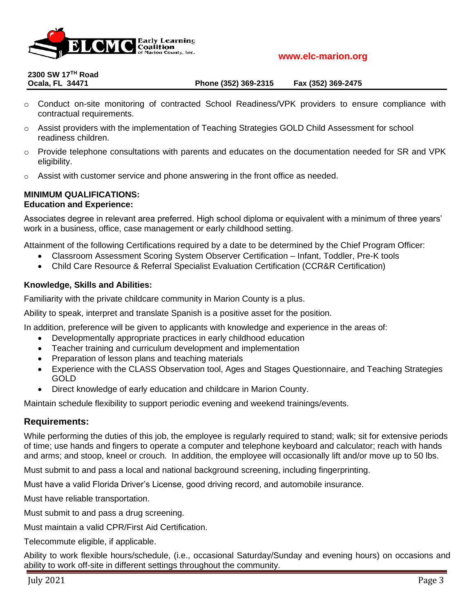

# **2300 SW 17TH Road**

#### **Ocala, FL 34471 Phone (352) 369-2315 Fax (352) 369-2475**

- o Conduct on-site monitoring of contracted School Readiness/VPK providers to ensure compliance with contractual requirements.
- o Assist providers with the implementation of Teaching Strategies GOLD Child Assessment for school readiness children.
- $\circ$  Provide telephone consultations with parents and educates on the documentation needed for SR and VPK eligibility.
- $\circ$  Assist with customer service and phone answering in the front office as needed.

# **MINIMUM QUALIFICATIONS:**

# **Education and Experience:**

Associates degree in relevant area preferred. High school diploma or equivalent with a minimum of three years' work in a business, office, case management or early childhood setting.

Attainment of the following Certifications required by a date to be determined by the Chief Program Officer:

- Classroom Assessment Scoring System Observer Certification Infant, Toddler, Pre-K tools
- Child Care Resource & Referral Specialist Evaluation Certification (CCR&R Certification)

# **Knowledge, Skills and Abilities:**

Familiarity with the private childcare community in Marion County is a plus.

Ability to speak, interpret and translate Spanish is a positive asset for the position.

In addition, preference will be given to applicants with knowledge and experience in the areas of:

- Developmentally appropriate practices in early childhood education
- Teacher training and curriculum development and implementation
- Preparation of lesson plans and teaching materials
- Experience with the CLASS Observation tool, Ages and Stages Questionnaire, and Teaching Strategies GOLD
- Direct knowledge of early education and childcare in Marion County.

Maintain schedule flexibility to support periodic evening and weekend trainings/events.

# **Requirements:**

While performing the duties of this job, the employee is regularly required to stand; walk; sit for extensive periods of time; use hands and fingers to operate a computer and telephone keyboard and calculator; reach with hands and arms; and stoop, kneel or crouch. In addition, the employee will occasionally lift and/or move up to 50 lbs.

Must submit to and pass a local and national background screening, including fingerprinting.

Must have a valid Florida Driver's License, good driving record, and automobile insurance.

Must have reliable transportation.

Must submit to and pass a drug screening.

Must maintain a valid CPR/First Aid Certification.

Telecommute eligible, if applicable.

Ability to work flexible hours/schedule, (i.e., occasional Saturday/Sunday and evening hours) on occasions and ability to work off-site in different settings throughout the community.